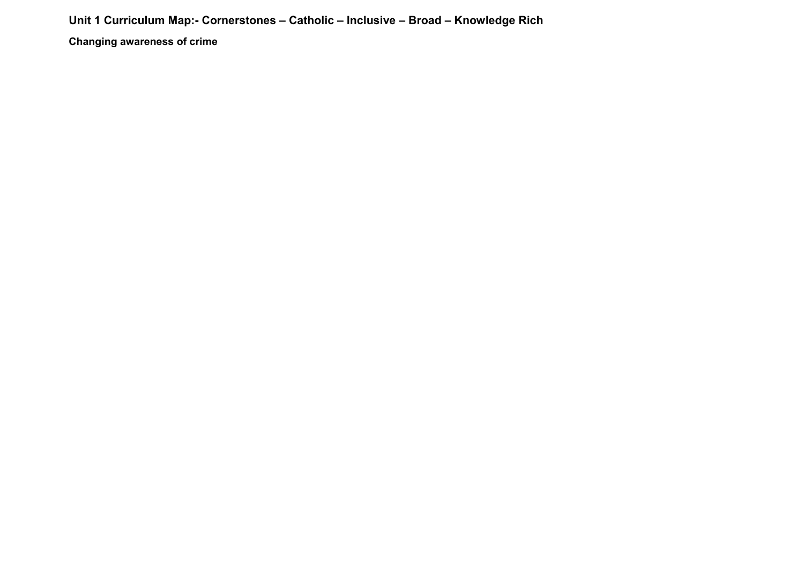## **Unit 1 Curriculum Map:- Cornerstones – Catholic – Inclusive – Broad – Knowledge Rich**

**Changing awareness of crime**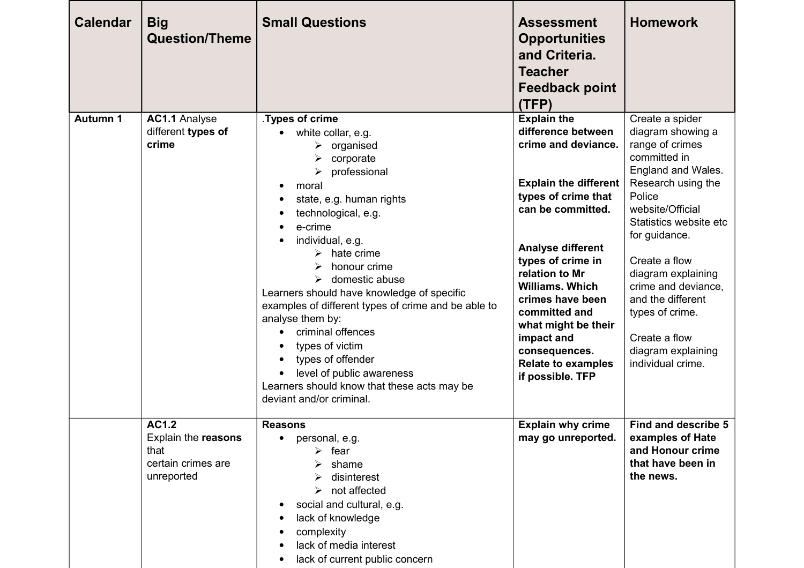| <b>Calendar</b> | <b>Big</b><br><b>Question/Theme</b>                                             | <b>Small Questions</b>                                                                                                                                                                                                                                                                                                                                                                                                                                                                                                                                                            | <b>Assessment</b><br><b>Opportunities</b><br>and Criteria.<br><b>Teacher</b><br><b>Feedback point</b><br>(TFP)                                                                                                                                                                                                                                                                       | <b>Homework</b>                                                                                                                                                                                                                                                                                                                                                |
|-----------------|---------------------------------------------------------------------------------|-----------------------------------------------------------------------------------------------------------------------------------------------------------------------------------------------------------------------------------------------------------------------------------------------------------------------------------------------------------------------------------------------------------------------------------------------------------------------------------------------------------------------------------------------------------------------------------|--------------------------------------------------------------------------------------------------------------------------------------------------------------------------------------------------------------------------------------------------------------------------------------------------------------------------------------------------------------------------------------|----------------------------------------------------------------------------------------------------------------------------------------------------------------------------------------------------------------------------------------------------------------------------------------------------------------------------------------------------------------|
| Autumn 1        | <b>AC1.1 Analyse</b><br>different types of<br>crime                             | Types of crime.<br>white collar, e.g.<br>organised<br>➤<br>corporate<br>➤<br>professional<br>moral<br>state, e.g. human rights<br>technological, e.g.<br>e-crime<br>individual, e.g.<br>$\triangleright$ hate crime<br>honour crime<br>➤<br>domestic abuse<br>$\blacktriangleright$<br>Learners should have knowledge of specific<br>examples of different types of crime and be able to<br>analyse them by:<br>criminal offences<br>types of victim<br>types of offender<br>level of public awareness<br>Learners should know that these acts may be<br>deviant and/or criminal. | <b>Explain the</b><br>difference between<br>crime and deviance.<br><b>Explain the different</b><br>types of crime that<br>can be committed.<br><b>Analyse different</b><br>types of crime in<br>relation to Mr<br><b>Williams. Which</b><br>crimes have been<br>committed and<br>what might be their<br>impact and<br>consequences.<br><b>Relate to examples</b><br>if possible. TFP | Create a spider<br>diagram showing a<br>range of crimes<br>committed in<br>England and Wales.<br>Research using the<br>Police<br>website/Official<br>Statistics website etc<br>for guidance.<br>Create a flow<br>diagram explaining<br>crime and deviance.<br>and the different<br>types of crime.<br>Create a flow<br>diagram explaining<br>individual crime. |
|                 | <b>AC1.2</b><br>Explain the reasons<br>that<br>certain crimes are<br>unreported | <b>Reasons</b><br>personal, e.g.<br>$\triangleright$ fear<br>shame<br>disinterest<br>$\triangleright$ not affected<br>social and cultural, e.g.<br>lack of knowledge<br>complexity<br>lack of media interest<br>lack of current public concern                                                                                                                                                                                                                                                                                                                                    | <b>Explain why crime</b><br>may go unreported.                                                                                                                                                                                                                                                                                                                                       | Find and describe 5<br>examples of Hate<br>and Honour crime<br>that have been in<br>the news.                                                                                                                                                                                                                                                                  |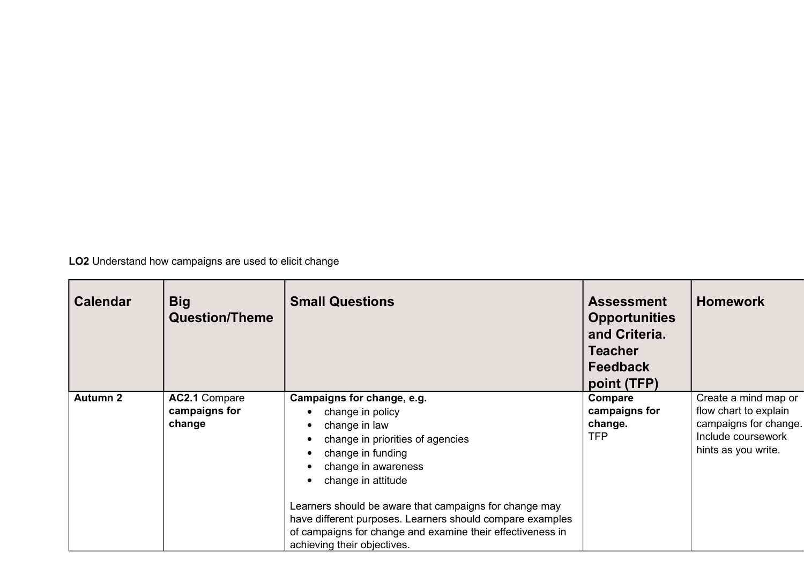**LO2** Understand how campaigns are used to elicit change

| <b>Calendar</b> | <b>Big</b><br><b>Question/Theme</b>      | <b>Small Questions</b>                                                                                                                                                                                                                                                                                                                                                                                                                | <b>Assessment</b><br><b>Opportunities</b><br>and Criteria.<br><b>Teacher</b><br><b>Feedback</b><br>point (TFP) | <b>Homework</b>                                                                                                     |
|-----------------|------------------------------------------|---------------------------------------------------------------------------------------------------------------------------------------------------------------------------------------------------------------------------------------------------------------------------------------------------------------------------------------------------------------------------------------------------------------------------------------|----------------------------------------------------------------------------------------------------------------|---------------------------------------------------------------------------------------------------------------------|
| <b>Autumn 2</b> | AC2.1 Compare<br>campaigns for<br>change | Campaigns for change, e.g.<br>change in policy<br>change in law<br>$\bullet$<br>change in priorities of agencies<br>٠<br>change in funding<br>$\bullet$<br>change in awareness<br>change in attitude<br>$\bullet$<br>Learners should be aware that campaigns for change may<br>have different purposes. Learners should compare examples<br>of campaigns for change and examine their effectiveness in<br>achieving their objectives. | Compare<br>campaigns for<br>change.<br><b>TFP</b>                                                              | Create a mind map or<br>flow chart to explain<br>campaigns for change.<br>Include coursework<br>hints as you write. |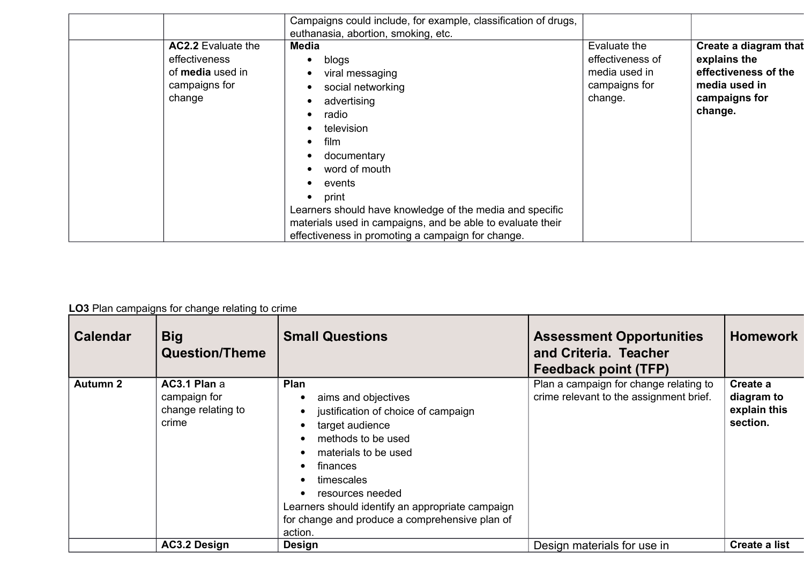|                                                                                                  | Campaigns could include, for example, classification of drugs,                                                                                                                                                                                                                                                                                                                                                                                                                  |                                                                               |                                                                                                            |
|--------------------------------------------------------------------------------------------------|---------------------------------------------------------------------------------------------------------------------------------------------------------------------------------------------------------------------------------------------------------------------------------------------------------------------------------------------------------------------------------------------------------------------------------------------------------------------------------|-------------------------------------------------------------------------------|------------------------------------------------------------------------------------------------------------|
| <b>AC2.2</b> Evaluate the<br>effectiveness<br>of <b>media</b> used in<br>campaigns for<br>change | euthanasia, abortion, smoking, etc.<br><b>Media</b><br>blogs<br>$\bullet$<br>viral messaging<br>$\bullet$<br>social networking<br>$\bullet$<br>advertising<br>$\bullet$<br>radio<br>television<br>$\bullet$<br>film<br>documentary<br>$\bullet$<br>word of mouth<br>events<br>print<br>$\bullet$<br>Learners should have knowledge of the media and specific<br>materials used in campaigns, and be able to evaluate their<br>effectiveness in promoting a campaign for change. | Evaluate the<br>effectiveness of<br>media used in<br>campaigns for<br>change. | Create a diagram that<br>explains the<br>effectiveness of the<br>media used in<br>campaigns for<br>change. |

## **LO3** Plan campaigns for change relating to crime

| <b>Calendar</b> | <b>Big</b><br><b>Question/Theme</b>                         | <b>Small Questions</b>                                                                                                                                                                                                                                                                             | <b>Assessment Opportunities</b><br>and Criteria. Teacher<br>Feedback point (TFP)  | <b>Homework</b>                                    |
|-----------------|-------------------------------------------------------------|----------------------------------------------------------------------------------------------------------------------------------------------------------------------------------------------------------------------------------------------------------------------------------------------------|-----------------------------------------------------------------------------------|----------------------------------------------------|
| <b>Autumn 2</b> | AC3.1 Plan a<br>campaign for<br>change relating to<br>crime | Plan<br>aims and objectives<br>justification of choice of campaign<br>target audience<br>methods to be used<br>materials to be used<br>finances<br>timescales<br>resources needed<br>Learners should identify an appropriate campaign<br>for change and produce a comprehensive plan of<br>action. | Plan a campaign for change relating to<br>crime relevant to the assignment brief. | Create a<br>diagram to<br>explain this<br>section. |
|                 | <b>AC3.2 Design</b>                                         | <b>Design</b>                                                                                                                                                                                                                                                                                      | Design materials for use in                                                       | Create a list                                      |